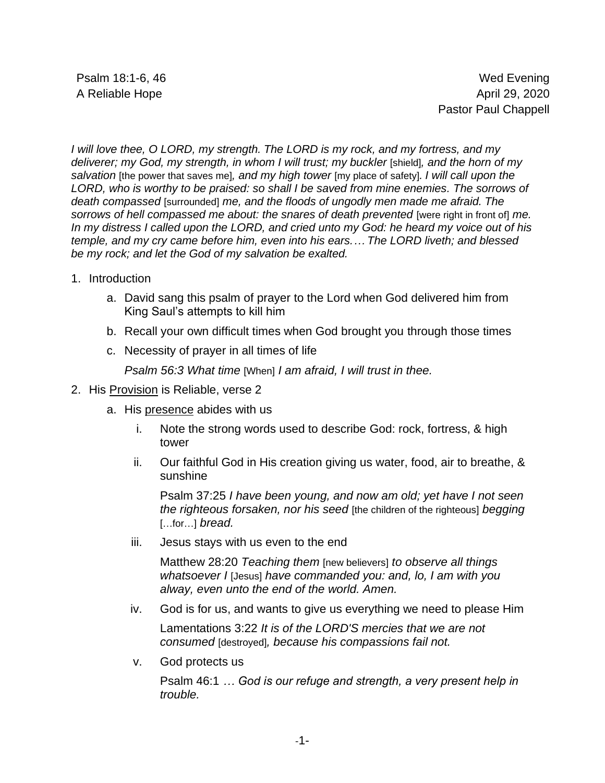*I will love thee, O LORD, my strength. The LORD is my rock, and my fortress, and my deliverer; my God, my strength, in whom I will trust; my buckler* [shield]*, and the horn of my salvation* [the power that saves me]*, and my high tower* [my place of safety]*. I will call upon the LORD, who is worthy to be praised: so shall I be saved from mine enemies. The sorrows of death compassed* [surrounded] *me, and the floods of ungodly men made me afraid. The sorrows of hell compassed me about: the snares of death prevented* [were right in front of] *me. In my distress I called upon the LORD, and cried unto my God: he heard my voice out of his temple, and my cry came before him, even into his ears.… The LORD liveth; and blessed be my rock; and let the God of my salvation be exalted.*

- 1. Introduction
	- a. David sang this psalm of prayer to the Lord when God delivered him from King Saul's attempts to kill him
	- b. Recall your own difficult times when God brought you through those times
	- c. Necessity of prayer in all times of life

*Psalm 56:3 What time* [When] *I am afraid, I will trust in thee.*

- 2. His Provision is Reliable, verse 2
	- a. His presence abides with us
		- i. Note the strong words used to describe God: rock, fortress, & high tower
		- ii. Our faithful God in His creation giving us water, food, air to breathe, & sunshine

Psalm 37:25 *I have been young, and now am old; yet have I not seen the righteous forsaken, nor his seed* [the children of the righteous] *begging*  […for…] *bread.*

iii. Jesus stays with us even to the end

Matthew 28:20 *Teaching them* [new believers] *to observe all things whatsoever I* [Jesus] *have commanded you: and, lo, I am with you alway, even unto the end of the world. Amen.*

iv. God is for us, and wants to give us everything we need to please Him

Lamentations 3:22 *It is of the LORD'S mercies that we are not consumed* [destroyed]*, because his compassions fail not.*

v. God protects us

Psalm 46:1 *… God is our refuge and strength, a very present help in trouble.*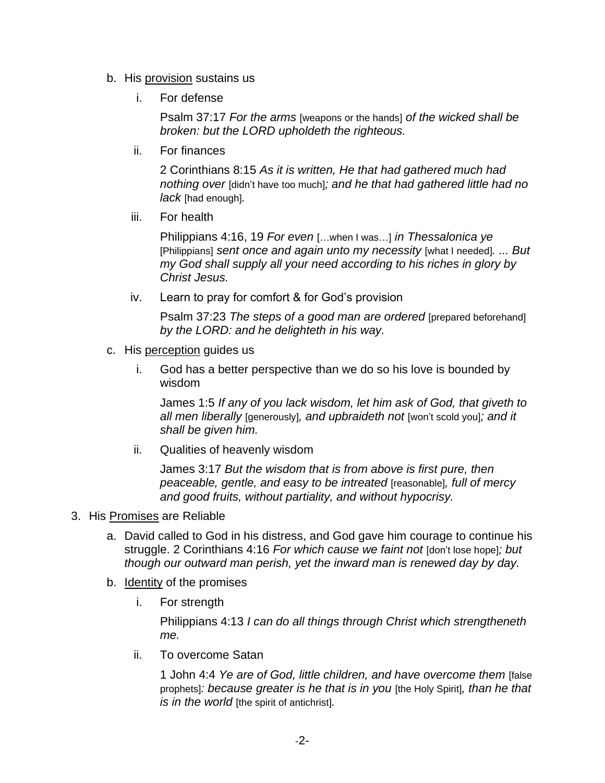- b. His provision sustains us
	- i. For defense

Psalm 37:17 *For the arms* [weapons or the hands] *of the wicked shall be broken: but the LORD upholdeth the righteous.*

ii. For finances

2 Corinthians 8:15 *As it is written, He that had gathered much had nothing over* [didn't have too much]*; and he that had gathered little had no lack* [had enough]*.*

iii. For health

Philippians 4:16, 19 *For even* […when I was…] *in Thessalonica ye* [Philippians] *sent once and again unto my necessity* [what I needed]*. ... But my God shall supply all your need according to his riches in glory by Christ Jesus.*

iv. Learn to pray for comfort & for God's provision

Psalm 37:23 *The steps of a good man are ordered* [prepared beforehand] *by the LORD: and he delighteth in his way.*

- c. His perception guides us
	- i. God has a better perspective than we do so his love is bounded by wisdom

James 1:5 *If any of you lack wisdom, let him ask of God, that giveth to all men liberally* [generously]*, and upbraideth not* [won't scold you]*; and it shall be given him.*

ii. Qualities of heavenly wisdom

James 3:17 *But the wisdom that is from above is first pure, then peaceable, gentle, and easy to be intreated* [reasonable]*, full of mercy and good fruits, without partiality, and without hypocrisy.*

- 3. His Promises are Reliable
	- a. David called to God in his distress, and God gave him courage to continue his struggle. 2 Corinthians 4:16 *For which cause we faint not* [don't lose hope]*; but though our outward man perish, yet the inward man is renewed day by day.*
	- b. Identity of the promises
		- i. For strength

Philippians 4:13 *I can do all things through Christ which strengtheneth me.*

ii. To overcome Satan

1 John 4:4 *Ye are of God, little children, and have overcome them* [false prophets]*: because greater is he that is in you* [the Holy Spirit]*, than he that is in the world* [the spirit of antichrist]*.*